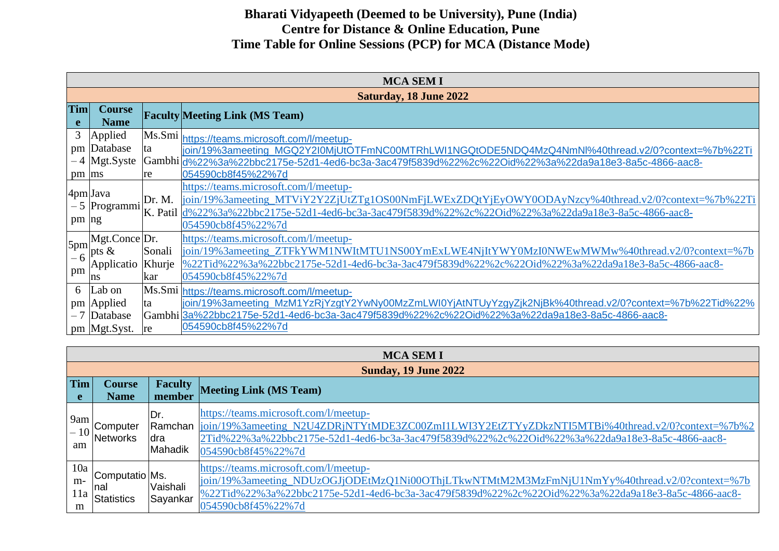|                 | <b>MCA SEM I</b>              |        |                                                                                                                                                                                                                                                                          |  |  |  |  |
|-----------------|-------------------------------|--------|--------------------------------------------------------------------------------------------------------------------------------------------------------------------------------------------------------------------------------------------------------------------------|--|--|--|--|
|                 | <b>Saturday, 18 June 2022</b> |        |                                                                                                                                                                                                                                                                          |  |  |  |  |
| <b>Tim</b><br>e | <b>Course</b><br><b>Name</b>  |        | <b>Faculty Meeting Link (MS Team)</b>                                                                                                                                                                                                                                    |  |  |  |  |
| 3               | Applied                       |        | Ms.Smi https://teams.microsoft.com/l/meetup-                                                                                                                                                                                                                             |  |  |  |  |
| pm              | Database                      | ta     | join/19%3ameeting MGQ2Y2I0MjUtOTFmNC00MTRhLWI1NGQtODE5NDQ4MzQ4NmNl%40thread.v2/0?context=%7b%22Ti                                                                                                                                                                        |  |  |  |  |
|                 | $-4$ Mgt.Syste                |        | /Gambhi  <sub>d%22%3a%22bbc2175e-52d1-4ed6-bc3a-3ac479f5839d%22%2c%22Oid%22%3a%22da9a18e3-8a5c-4866-aac8-</sub>                                                                                                                                                          |  |  |  |  |
| pm ms           |                               | re     | 054590cb8f45%22%7d                                                                                                                                                                                                                                                       |  |  |  |  |
| pm  ng          | 4pm Java<br>- 5 Programmi     | Dr. M. | https://teams.microsoft.com/l/meetup-<br>join/19%3ameeting_MTViY2Y2ZjUtZTg1OS00NmFjLWExZDQtYjEyOWY0ODAyNzcy%40thread.v2/0?context=%7b%22Ti<br>K. Patil d%22%3a%22bbc2175e-52d1-4ed6-bc3a-3ac479f5839d%22%2c%22Oid%22%3a%22da9a18e3-8a5c-4866-aac8-<br>054590cb8f45%22%7d |  |  |  |  |
|                 | Mgt.Conce Dr.                 |        | https://teams.microsoft.com/l/meetup-                                                                                                                                                                                                                                    |  |  |  |  |
| 5pm             | $1-6$ pts &                   | Sonali | join/19%3ameeting_ZTFkYWM1NWItMTU1NS00YmExLWE4NjItYWY0MzI0NWEwMWMw%40thread.v2/0?context=%7b                                                                                                                                                                             |  |  |  |  |
|                 | Applicatio                    | Khurje | %22Tid%22%3a%22bbc2175e-52d1-4ed6-bc3a-3ac479f5839d%22%2c%22Oid%22%3a%22da9a18e3-8a5c-4866-aac8-                                                                                                                                                                         |  |  |  |  |
| pm              | ns                            | kar    | 054590cb8f45%22%7d                                                                                                                                                                                                                                                       |  |  |  |  |
| 6               | Lab on                        |        | Ms.Smi https://teams.microsoft.com/l/meetup-                                                                                                                                                                                                                             |  |  |  |  |
|                 | pm Applied                    | ta     | join/19%3ameeting_MzM1YzRjYzgtY2YwNy00MzZmLWI0YjAtNTUyYzgyZjk2NjBk%40thread.v2/0?context=%7b%22Tid%22%                                                                                                                                                                   |  |  |  |  |
|                 | $-7$ Database                 |        | Gambhi 3a%22bbc2175e-52d1-4ed6-bc3a-3ac479f5839d%22%2c%22Oid%22%3a%22da9a18e3-8a5c-4866-aac8-                                                                                                                                                                            |  |  |  |  |
|                 | pm Mgt.Syst.                  | re     | 054590cb8f45%22%7d                                                                                                                                                                                                                                                       |  |  |  |  |

|                         | <b>MCA SEM I</b>                            |                        |                                                                                                                                                                                                                                                                           |  |
|-------------------------|---------------------------------------------|------------------------|---------------------------------------------------------------------------------------------------------------------------------------------------------------------------------------------------------------------------------------------------------------------------|--|
|                         |                                             |                        | <b>Sunday, 19 June 2022</b>                                                                                                                                                                                                                                               |  |
| Tim<br>e                | <b>Course</b><br><b>Name</b>                | Faculty<br>member      | <b>Meeting Link (MS Team)</b>                                                                                                                                                                                                                                             |  |
| 9am<br>am               | Computer<br>$-10$ Networks                  | Dr.<br>Idra<br>Mahadik | https://teams.microsoft.com/l/meetup-<br>Ramchan  join/19%3ameeting_N2U4ZDRjNTYtMDE3ZC00ZmI1LWI3Y2EtZTYyZDkzNTI5MTBi%40thread.v2/0?context=%7b%2<br>.2Tid%22%3a%22bbc2175e-52d1-4ed6-bc3a-3ac479f5839d%22%2c%22Oid%22%3a%22da9a18e3-8a5c-4866-aac8-<br>054590cb8f45%22%7d |  |
| 10a<br>$m-$<br>11a<br>m | Computatio Ms.<br><b>Inal</b><br>Statistics | Vaishali<br>Sayankar   | https://teams.microsoft.com/l/meetup-<br>join/19%3ameeting_NDUzOGJjODEtMzQ1Ni00OThjLTkwNTMtM2M3MzFmNjU1NmYy%40thread.v2/0?context=%7b<br>%22Tid%22%3a%22bbc2175e-52d1-4ed6-bc3a-3ac479f5839d%22%2c%22Oid%22%3a%22da9a18e3-8a5c-4866-aac8-<br>054590cb8f45%22%7d           |  |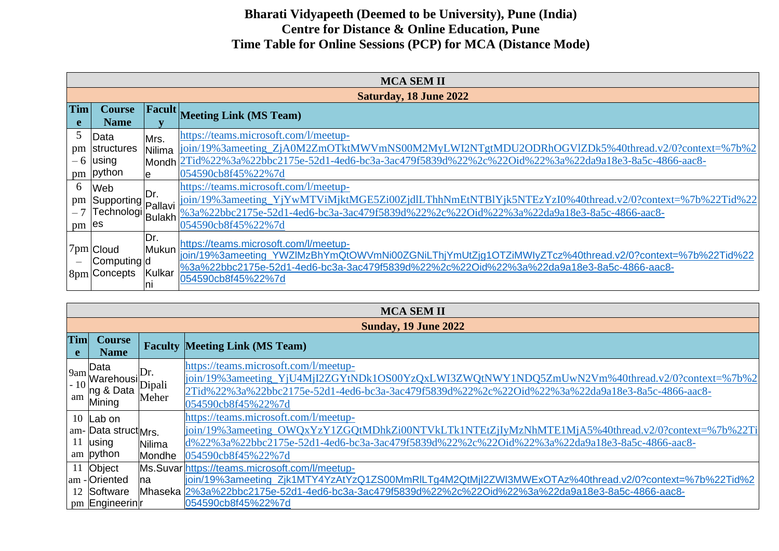|                      | <b>MCA SEM II</b>                                                                 |                        |                                                                                                                                                                                                                                                                       |  |  |  |
|----------------------|-----------------------------------------------------------------------------------|------------------------|-----------------------------------------------------------------------------------------------------------------------------------------------------------------------------------------------------------------------------------------------------------------------|--|--|--|
|                      | <b>Saturday, 18 June 2022</b>                                                     |                        |                                                                                                                                                                                                                                                                       |  |  |  |
| <b>Tim</b><br>e      | <b>Course</b><br><b>Name</b>                                                      | Facult                 | <b>Meeting Link (MS Team)</b>                                                                                                                                                                                                                                         |  |  |  |
| 5<br>pm<br>- 6<br>pm | Data<br>structures<br><b>using</b><br>python                                      | Mrs.<br>Nilima<br>e    | https://teams.microsoft.com/l/meetup-<br>join/19%3ameeting_ZjA0M2ZmOTktMWVmNS00M2MyLWI2NTgtMDU2ODRhOGVlZDk5%40thread.v2/0?context=%7b%2<br>Mondh 2Tid%22%3a%22bbc2175e-52d1-4ed6-bc3a-3ac479f5839d%22%2c%22Oid%22%3a%22da9a18e3-8a5c-4866-aac8-<br>054590cb8f45%22%7d |  |  |  |
| 6<br>pm<br>pm        | Web<br>Supporting Pallavi <sup>17</sup><br>Technologi Bulakh <sup>I-</sup><br>les | IDr.                   | https://teams.microsoft.com/l/meetup-<br>join/19%3ameeting_YjYwMTViMjktMGE5Zi00ZjdlLThhNmEtNTBlYjk5NTEzYzI0%40thread.v2/0?context=%7b%22Tid%22<br>%3a%22bbc2175e-52d1-4ed6-bc3a-3ac479f5839d%22%2c%22Oid%22%3a%22da9a18e3-8a5c-4866-aac8-<br>054590cb8f45%22%7d       |  |  |  |
|                      | 7pm Cloud<br>Computing d<br>8pm Concepts                                          | Dr.<br>Mukun<br>Kulkar | https://teams.microsoft.com/l/meetup-<br>join/19%3ameeting YWZIMzBhYmQtOWVmNi00ZGNiLThjYmUtZjq1OTZiMWIyZTcz%40thread.v2/0?context=%7b%22Tid%22<br>%3a%22bbc2175e-52d1-4ed6-bc3a-3ac479f5839d%22%2c%22Oid%22%3a%22da9a18e3-8a5c-4866-aac8-<br>054590cb8f45%22%7d       |  |  |  |

|          | <b>MCA SEM II</b>                                                                                   |                  |                                                                                                                                                                                                                                                                 |  |  |
|----------|-----------------------------------------------------------------------------------------------------|------------------|-----------------------------------------------------------------------------------------------------------------------------------------------------------------------------------------------------------------------------------------------------------------|--|--|
|          |                                                                                                     |                  | <b>Sunday, 19 June 2022</b>                                                                                                                                                                                                                                     |  |  |
| Tim<br>e | <b>Course</b><br><b>Name</b>                                                                        |                  | <b>Faculty Meeting Link (MS Team)</b>                                                                                                                                                                                                                           |  |  |
|          | Data<br>$\beta$ am Warehousi $\overline{D}$ ipali<br>´∣ng & Data<br>$\mathbb{R}^{\text{am}}$ Mining | Meher            | https://teams.microsoft.com/l/meetup-<br>join/19%3ameeting_YjU4MjI2ZGYtNDk1OS00YzQxLWI3ZWQtNWY1NDQ5ZmUwN2Vm%40thread.v2/0?context=%7b%2<br>2Tid%22%3a%22bbc2175e-52d1-4ed6-bc3a-3ac479f5839d%22%2c%22Oid%22%3a%22da9a18e3-8a5c-4866-aac8-<br>054590cb8f45%22%7d |  |  |
|          | 10 $ $ Lab on<br>am- Data struct <sub>Mrs.</sub><br>$11$ using<br>am python                         | Nilima<br>Mondhe | https://teams.microsoft.com/l/meetup-<br>join/19%3ameeting_OWQxYzY1ZGQtMDhkZi00NTVkLTk1NTEtZjIyMzNhMTE1MjA5%40thread.v2/0?context=%7b%22Ti<br>d%22%3a%22bbc2175e-52d1-4ed6-bc3a-3ac479f5839d%22%2c%22Oid%22%3a%22da9a18e3-8a5c-4866-aac8-<br>054590cb8f45%22%7d |  |  |
|          | 11 Object<br>am - Oriented<br>12 Software                                                           | na               | Ms.Suvar https://teams.microsoft.com/l/meetup-<br>join/19%3ameeting_Zjk1MTY4YzAtYzQ1ZS00MmRILTg4M2QtMjI2ZWI3MWExOTAz%40thread.v2/0?context=%7b%22Tid%2<br>Mhaseka 2%3a%22bbc2175e-52d1-4ed6-bc3a-3ac479f5839d%22%2c%22Oid%22%3a%22da9a18e3-8a5c-4866-aac8-      |  |  |
|          | pm Engineerin                                                                                       |                  | 054590cb8f45%22%7d                                                                                                                                                                                                                                              |  |  |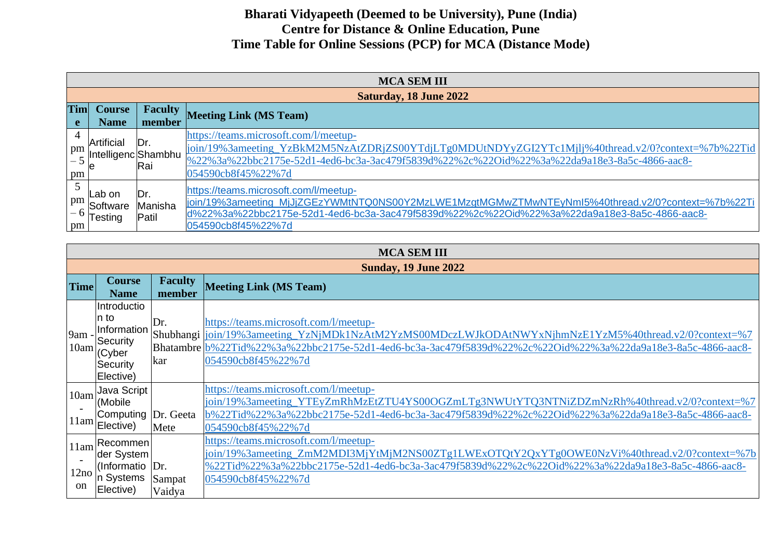|          | <b>MCA SEM III</b>                                   |                          |                                                                                                                                                                                                                                                                 |  |  |  |
|----------|------------------------------------------------------|--------------------------|-----------------------------------------------------------------------------------------------------------------------------------------------------------------------------------------------------------------------------------------------------------------|--|--|--|
|          |                                                      |                          | <b>Saturday, 18 June 2022</b>                                                                                                                                                                                                                                   |  |  |  |
| Tim      | <b>Course</b><br><b>Name</b>                         | <b>Faculty</b><br>member | Meeting Link (MS Team)                                                                                                                                                                                                                                          |  |  |  |
| 4<br>pm  | Artificial<br>Intelligenc Shambhu<br>$\mathcal{P}$ e | Dr.<br>Rai               | https://teams.microsoft.com/l/meetup-<br>join/19%3ameeting_YzBkM2M5NzAtZDRjZS00YTdjLTg0MDUtNDYyZGI2YTc1Mjlj%40thread.v2/0?context=%7b%22Tid<br>%22%3a%22bbc2175e-52d1-4ed6-bc3a-3ac479f5839d%22%2c%22Oid%22%3a%22da9a18e3-8a5c-4866-aac8-<br>054590cb8f45%22%7d |  |  |  |
| pm<br>pm | Lab on<br>Software<br>$^{-6}$ $\textsf{Testing}$     | ۱Dr.<br>Manisha<br>Patil | https://teams.microsoft.com/l/meetup-<br>join/19%3ameeting_MjJjZGEzYWMtNTQ0NS00Y2MzLWE1MzgtMGMwZTMwNTEyNml5%40thread.v2/0?context=%7b%22Ti<br>d%22%3a%22bbc2175e-52d1-4ed6-bc3a-3ac479f5839d%22%2c%22Oid%22%3a%22da9a18e3-8a5c-4866-aac8-<br>054590cb8f45%22%7d |  |  |  |

|                               | <b>MCA SEM III</b>                                                                |                          |                                                                                                                                                                                                                                                                                      |  |  |
|-------------------------------|-----------------------------------------------------------------------------------|--------------------------|--------------------------------------------------------------------------------------------------------------------------------------------------------------------------------------------------------------------------------------------------------------------------------------|--|--|
|                               | <b>Sunday, 19 June 2022</b>                                                       |                          |                                                                                                                                                                                                                                                                                      |  |  |
| <b>Time</b>                   | <b>Course</b><br><b>Name</b>                                                      | <b>Faculty</b><br>member | <b>Meeting Link (MS Team)</b>                                                                                                                                                                                                                                                        |  |  |
| 9am<br>10am                   | Introductio<br>n to<br>Information<br>Security<br>(Cyber<br>Security<br>Elective) | Dr.<br>kar               | https://teams.microsoft.com/l/meetup-<br>Shubhangi  join/19%3ameeting_YzNjMDk1NzAtM2YzMS00MDczLWJkODAtNWYxNjhmNzE1YzM5%40thread.v2/0?context=%7<br>Bhatambre b%22Tid%22%3a%22bbc2175e-52d1-4ed6-bc3a-3ac479f5839d%22%2c%22Oid%22%3a%22da9a18e3-8a5c-4866-aac8-<br>054590cb8f45%22%7d |  |  |
| 10am                          | <b>Java Script</b><br>(Mobile<br>Computing Dr. Geeta<br>$11$ am $ E $ ective)     | Mete                     | https://teams.microsoft.com/l/meetup-<br>join/19%3ameeting_YTEyZmRhMzEtZTU4YS00OGZmLTg3NWUtYTQ3NTNiZDZmNzRh%40thread.v2/0?context=%7<br>b%22Tid%22%3a%22bbc2175e-52d1-4ed6-bc3a-3ac479f5839d%22%2c%22Oid%22%3a%22da9a18e3-8a5c-4866-aac8-<br>054590cb8f45%22%7d                      |  |  |
| 11am<br>12no<br><sub>on</sub> | Recommen<br>der System<br>(Informatio  Dr.<br>In Systems<br>Elective)             | Sampat<br>Vaidya         | https://teams.microsoft.com/l/meetup-<br>join/19%3ameeting_ZmM2MDI3MjYtMjM2NS00ZTg1LWExOTQtY2QxYTg0OWE0NzVi%40thread.v2/0?context=%7b<br>%22Tid%22%3a%22bbc2175e-52d1-4ed6-bc3a-3ac479f5839d%22%2c%22Oid%22%3a%22da9a18e3-8a5c-4866-aac8-<br>054590cb8f45%22%7d                      |  |  |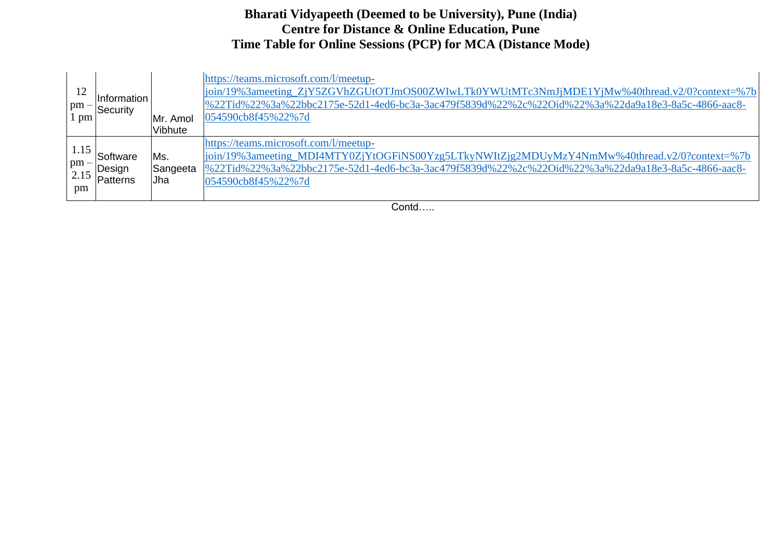|                              | Information<br>$\begin{vmatrix} \text{pm} \\ \text{1 pm} \end{vmatrix}$ Security | IMr. Amol<br><b>Vibhute</b> | https://teams.microsoft.com/l/meetup-<br>join/19%3ameeting_ZjY5ZGVhZGUtOTJmOS00ZWIwLTk0YWUtMTc3NmJjMDE1YjMw%40thread.v2/0?context=%7b<br>%22Tid%22%3a%22bbc2175e-52d1-4ed6-bc3a-3ac479f5839d%22%2c%22Oid%22%3a%22da9a18e3-8a5c-4866-aac8-<br>054590cb8f45%22%7d |
|------------------------------|----------------------------------------------------------------------------------|-----------------------------|-----------------------------------------------------------------------------------------------------------------------------------------------------------------------------------------------------------------------------------------------------------------|
| 1.15<br>$pm -$<br>2.15<br>pm | Software<br>Design<br>Patterns                                                   | Ms.<br>Sangeeta<br>Jha      | https://teams.microsoft.com/l/meetup-<br>join/19%3ameeting_MDI4MTY0ZjYtOGFiNS00Yzg5LTkyNWItZjg2MDUyMzY4NmMw%40thread.v2/0?context=%7b<br>%22Tid%22%3a%22bbc2175e-52d1-4ed6-bc3a-3ac479f5839d%22%2c%22Oid%22%3a%22da9a18e3-8a5c-4866-aac8-<br>054590cb8f45%22%7d |

Contd…..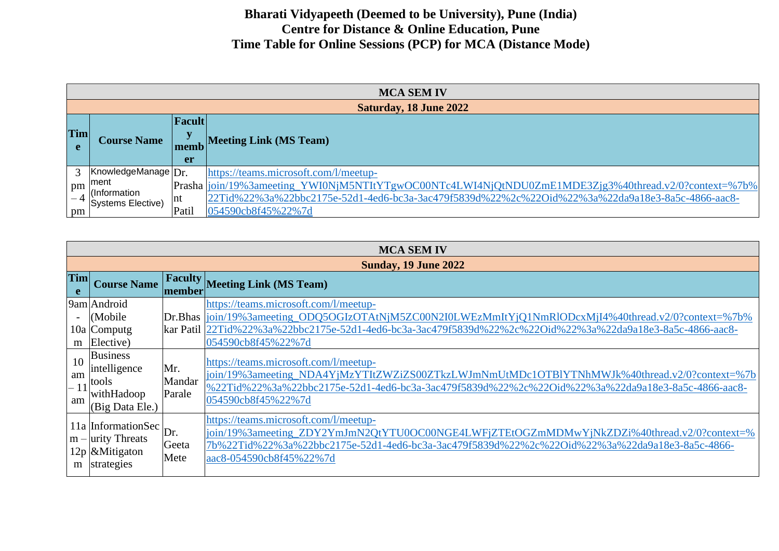|              | <b>MCA SEM IV</b>                 |           |                                                                                                       |  |
|--------------|-----------------------------------|-----------|-------------------------------------------------------------------------------------------------------|--|
|              |                                   |           | <b>Saturday, 18 June 2022</b>                                                                         |  |
|              |                                   | Facult    |                                                                                                       |  |
| <b>Tim</b>   | <b>Course Name</b>                |           | <b>Meeting Link (MS Team)</b>                                                                         |  |
|              |                                   | memb      |                                                                                                       |  |
|              |                                   | <b>er</b> |                                                                                                       |  |
| $\mathbf{c}$ | KnowledgeManage   Dr.             |           | https://teams.microsoft.com/l/meetup-                                                                 |  |
| pm           | ment                              |           | Prasha  join/19%3ameeting_YWI0NjM5NTItYTgwOC00NTc4LWI4NjQtNDU0ZmE1MDE3Zjg3%40thread.v2/0?context=%7b% |  |
|              | (Information<br>Systems Elective) | Int       | 22Tid%22%3a%22bbc2175e-52d1-4ed6-bc3a-3ac479f5839d%22%2c%22Oid%22%3a%22da9a18e3-8a5c-4866-aac8-       |  |
| pm           |                                   | Patil     | 054590cb8f45%22%7d                                                                                    |  |

|                | <b>MCA SEM IV</b>                                                            |                         |                                                                                                                                                                                                                                                                                    |  |
|----------------|------------------------------------------------------------------------------|-------------------------|------------------------------------------------------------------------------------------------------------------------------------------------------------------------------------------------------------------------------------------------------------------------------------|--|
|                |                                                                              |                         | <b>Sunday, 19 June 2022</b>                                                                                                                                                                                                                                                        |  |
| Tim<br>e       | <b>Course Name</b>                                                           |                         | <b>Faculty Meeting Link (MS Team)</b>                                                                                                                                                                                                                                              |  |
|                | 9am Android<br>(Mobile)<br>10a Computg<br>$m$ Elective)                      |                         | https://teams.microsoft.com/l/meetup-<br>Dr.Bhas  join/19%3ameeting_ODQ5OGIzOTAtNjM5ZC00N2I0LWEzMmItYjQ1NmRlODcxMjI4%40thread.v2/0?context=%7b%<br>kar Patil 22Tid%22%3a%22bbc2175e-52d1-4ed6-bc3a-3ac479f5839d%22%2c%22Oid%22%3a%22da9a18e3-8a5c-4866-aac8-<br>054590cb8f45%22%7d |  |
| 10<br>am<br>am | <b>Business</b><br>intelligence<br>tools<br>withHadoop<br>(Big Data Ele.)    | Mr.<br>Mandar<br>Parale | https://teams.microsoft.com/l/meetup-<br>join/19%3ameeting_NDA4YjMzYTItZWZiZS00ZTkzLWJmNmUtMDc1OTB1YTNhMWJk%40thread.v2/0?context=%7b<br>%22Tid%22%3a%22bbc2175e-52d1-4ed6-bc3a-3ac479f5839d%22%2c%22Oid%22%3a%22da9a18e3-8a5c-4866-aac8-<br>054590cb8f45%22%7d                    |  |
| m              | 11a InformationSec<br>$m$ – urity Threats<br>$12p$ & Mitigaton<br>strategies | Dr.<br>Geeta<br>Mete    | https://teams.microsoft.com/l/meetup-<br>join/19%3ameeting_ZDY2YmJmN2QtYTU0OC00NGE4LWFjZTEtOGZmMDMwYjNkZDZi%40thread.v2/0?context=%<br>7b%22Tid%22%3a%22bbc2175e-52d1-4ed6-bc3a-3ac479f5839d%22%2c%22Oid%22%3a%22da9a18e3-8a5c-4866-<br>aac8-054590cb8f45%22%7d                    |  |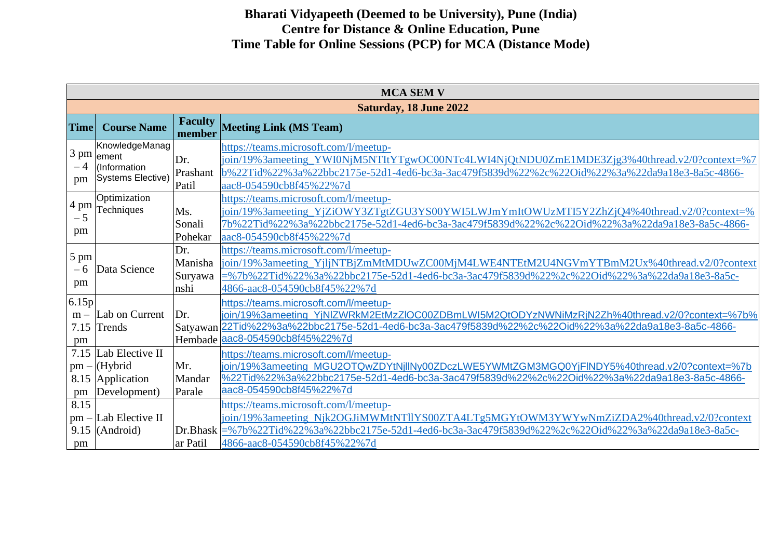|                              | <b>MCA SEM V</b>                                               |                                   |                                                                                                                                                                                                                                                                          |  |  |
|------------------------------|----------------------------------------------------------------|-----------------------------------|--------------------------------------------------------------------------------------------------------------------------------------------------------------------------------------------------------------------------------------------------------------------------|--|--|
|                              | <b>Saturday, 18 June 2022</b>                                  |                                   |                                                                                                                                                                                                                                                                          |  |  |
| <b>Time</b>                  | <b>Course Name</b>                                             | <b>Faculty</b><br>member          | <b>Meeting Link (MS Team)</b>                                                                                                                                                                                                                                            |  |  |
| 3 pm<br>pm                   | KnowledgeManag<br>ement<br>(Information<br>Systems Elective)   | Dr.<br>Prashant<br>Patil          | https://teams.microsoft.com/l/meetup-<br>join/19%3ameeting_YWI0NjM5NTItYTgwOC00NTc4LWI4NjQtNDU0ZmE1MDE3Zjg3%40thread.v2/0?context=%7<br>b%22Tid%22%3a%22bbc2175e-52d1-4ed6-bc3a-3ac479f5839d%22%2c%22Oid%22%3a%22da9a18e3-8a5c-4866-<br>aac8-054590cb8f45%22%7d          |  |  |
| 4 pm<br>$-5$<br>pm           | Optimization<br>Techniques                                     | Ms.<br>Sonali<br>Pohekar          | https://teams.microsoft.com/l/meetup-<br>join/19%3ameeting_YjZiOWY3ZTgtZGU3YS00YWI5LWJmYmItOWUzMTI5Y2ZhZjQ4%40thread.v2/0?context=%<br>7b%22Tid%22%3a%22bbc2175e-52d1-4ed6-bc3a-3ac479f5839d%22%2c%22Oid%22%3a%22da9a18e3-8a5c-4866-<br>aac8-054590cb8f45%22%7d          |  |  |
| 5 pm<br>$-6$<br>pm           | Data Science                                                   | Dr.<br>Manisha<br>Suryawa<br>nshi | https://teams.microsoft.com/l/meetup-<br>join/19%3ameeting_YjljNTBjZmMtMDUwZC00MjM4LWE4NTEtM2U4NGVmYTBmM2Ux%40thread.v2/0?context<br>=%7b%22Tid%22%3a%22bbc2175e-52d1-4ed6-bc3a-3ac479f5839d%22%2c%22Oid%22%3a%22da9a18e3-8a5c-<br>4866-aac8-054590cb8f45%22%7d          |  |  |
| 6.15p<br>$m -$<br>7.15<br>pm | Lab on Current<br>Trends                                       | Dr.<br>Hembade                    | https://teams.microsoft.com/l/meetup-<br>join/19%3ameeting_YjNlZWRkM2EtMzZlOC00ZDBmLWI5M2QtODYzNWNiMzRjN2Zh%40thread.v2/0?context=%7b%<br>Satyawan 22Tid%22%3a%22bbc2175e-52d1-4ed6-bc3a-3ac479f5839d%22%2c%22Oid%22%3a%22da9a18e3-8a5c-4866-<br>aac8-054590cb8f45%22%7d |  |  |
| 7.15<br>$pm -$<br>pm         | Lab Elective II<br>(Hybrid<br>8.15 Application<br>Development) | Mr.<br>Mandar<br>Parale           | https://teams.microsoft.com/l/meetup-<br>join/19%3ameeting_MGU2OTQwZDYtNjllNy00ZDczLWE5YWMtZGM3MGQ0YjFINDY5%40thread.v2/0?context=%7b<br>%22Tid%22%3a%22bbc2175e-52d1-4ed6-bc3a-3ac479f5839d%22%2c%22Oid%22%3a%22da9a18e3-8a5c-4866-<br>aac8-054590cb8f45%22%7d          |  |  |
| 8.15<br>$pm -$<br>pm         | Lab Elective II<br>$9.15$ (Android)                            | Dr.Bhask<br>ar Patil              | https://teams.microsoft.com/l/meetup-<br>join/19%3ameeting_Njk2OGJiMWMtNTllYS00ZTA4LTg5MGYtOWM3YWYwNmZiZDA2%40thread.v2/0?context<br>=%7b%22Tid%22%3a%22bbc2175e-52d1-4ed6-bc3a-3ac479f5839d%22%2c%22Oid%22%3a%22da9a18e3-8a5c-<br>4866-aac8-054590cb8f45%22%7d          |  |  |